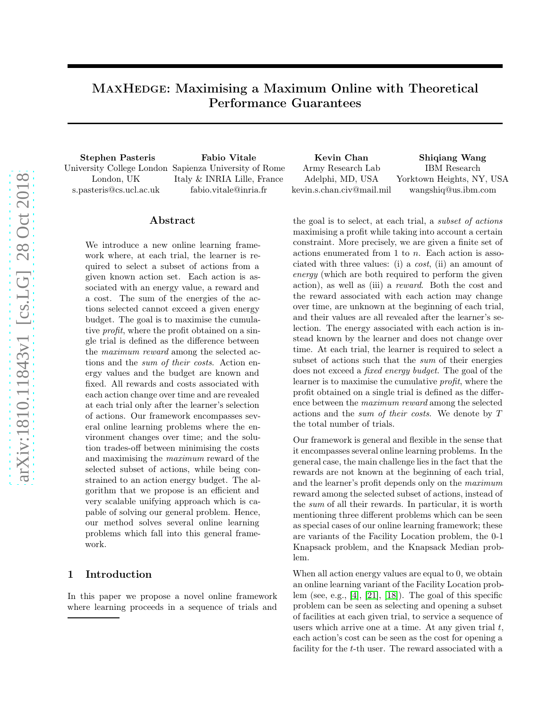# MAXHEDGE: Maximising a Maximum Online with Theoretical Performance Guarantees

London, UK s.pasteris@cs.ucl.ac.uk

University College London Sapienza University of Rome Italy & INRIA Lille, France fabio.vitale@inria.fr

Stephen Pasteris Fabio Vitale Kevin Chan Shiqiang Wang Army Research Lab Adelphi, MD, USA kevin.s.chan.civ@mail.mil IBM Research Yorktown Heights, NY, USA wangshiq@us.ibm.com

# Abstract

We introduce a new online learning framework where, at each trial, the learner is required to select a subset of actions from a given known action set. Each action is associated with an energy value, a reward and a cost. The sum of the energies of the actions selected cannot exceed a given energy budget. The goal is to maximise the cumulative *profit*, where the profit obtained on a single trial is defined as the difference between the *maximum reward* among the selected actions and the *sum of their costs*. Action energy values and the budget are known and fixed. All rewards and costs associated with each action change over time and are revealed at each trial only after the learner's selection of actions. Our framework encompasses several online learning problems where the environment changes over time; and the solution trades-off between minimising the costs and maximising the *maximum* reward of the selected subset of actions, while being constrained to an action energy budget. The algorithm that we propose is an efficient and very scalable unifying approach which is capable of solving our general problem. Hence, our method solves several online learning problems which fall into this general framework.

# 1 Introduction

In this paper we propose a novel online framework where learning proceeds in a sequence of trials and

the goal is to select, at each trial, a *subset of actions* maximising a profit while taking into account a certain constraint. More precisely, we are given a finite set of actions enumerated from 1 to n. Each action is associated with three values: (i) a *cost*, (ii) an amount of *energy* (which are both required to perform the given action), as well as (iii) a *reward*. Both the cost and the reward associated with each action may change over time, are unknown at the beginning of each trial, and their values are all revealed after the learner's selection. The energy associated with each action is instead known by the learner and does not change over time. At each trial, the learner is required to select a subset of actions such that the *sum* of their energies does not exceed a *fixed energy budget*. The goal of the learner is to maximise the cumulative *profit*, where the profit obtained on a single trial is defined as the difference between the *maximum reward* among the selected actions and the *sum of their costs*. We denote by T the total number of trials.

Our framework is general and flexible in the sense that it encompasses several online learning problems. In the general case, the main challenge lies in the fact that the rewards are not known at the beginning of each trial, and the learner's profit depends only on the *maximum* reward among the selected subset of actions, instead of the *sum* of all their rewards. In particular, it is worth mentioning three different problems which can be seen as special cases of our online learning framework; these are variants of the Facility Location problem, the 0-1 Knapsack problem, and the Knapsack Median problem.

When all action energy values are equal to 0, we obtain an online learning variant of the Facility Location problem (see, e.g., [\[4\]](#page-9-0), [\[21\]](#page-10-0), [\[18\]](#page-10-1)). The goal of this specific problem can be seen as selecting and opening a subset of facilities at each given trial, to service a sequence of users which arrive one at a time. At any given trial  $t$ , each action's cost can be seen as the cost for opening a facility for the *t*-th user. The reward associated with a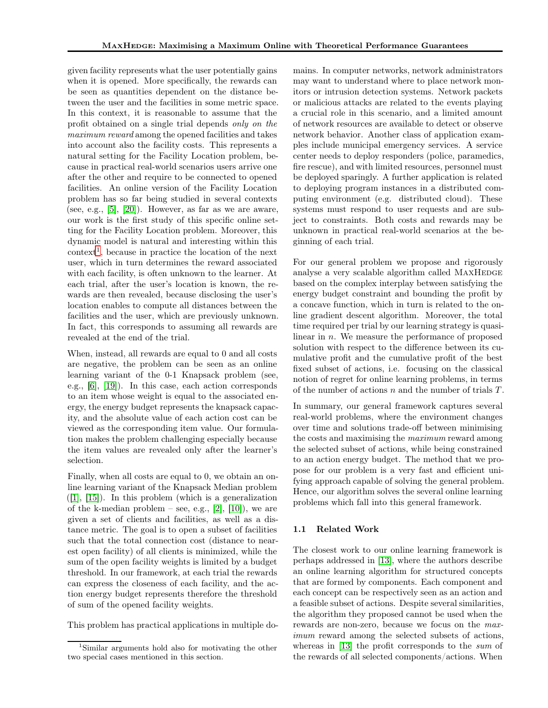given facility represents what the user potentially gains when it is opened. More specifically, the rewards can be seen as quantities dependent on the distance between the user and the facilities in some metric space. In this context, it is reasonable to assume that the profit obtained on a single trial depends *only on the maximum reward* among the opened facilities and takes into account also the facility costs. This represents a natural setting for the Facility Location problem, because in practical real-world scenarios users arrive one after the other and require to be connected to opened facilities. An online version of the Facility Location problem has so far being studied in several contexts (see, e.g.,  $[5]$ ,  $[20]$ ). However, as far as we are aware, our work is the first study of this specific online setting for the Facility Location problem. Moreover, this dynamic model is natural and interesting within this  $\text{context}^1$  $\text{context}^1$ , because in practice the location of the next user, which in turn determines the reward associated with each facility, is often unknown to the learner. At each trial, after the user's location is known, the rewards are then revealed, because disclosing the user's location enables to compute all distances between the facilities and the user, which are previously unknown. In fact, this corresponds to assuming all rewards are revealed at the end of the trial.

When, instead, all rewards are equal to 0 and all costs are negative, the problem can be seen as an online learning variant of the 0-1 Knapsack problem (see, e.g., [\[6\]](#page-9-2), [\[19\]](#page-10-3)). In this case, each action corresponds to an item whose weight is equal to the associated energy, the energy budget represents the knapsack capacity, and the absolute value of each action cost can be viewed as the corresponding item value. Our formulation makes the problem challenging especially because the item values are revealed only after the learner's selection.

Finally, when all costs are equal to 0, we obtain an online learning variant of the Knapsack Median problem  $([1], [15])$  $([1], [15])$  $([1], [15])$  $([1], [15])$  $([1], [15])$ . In this problem (which is a generalization of the k-median problem – see, e.g.,  $[2]$ ,  $[10]$ ), we are given a set of clients and facilities, as well as a distance metric. The goal is to open a subset of facilities such that the total connection cost (distance to nearest open facility) of all clients is minimized, while the sum of the open facility weights is limited by a budget threshold. In our framework, at each trial the rewards can express the closeness of each facility, and the action energy budget represents therefore the threshold of sum of the opened facility weights.

This problem has practical applications in multiple do-

mains. In computer networks, network administrators may want to understand where to place network monitors or intrusion detection systems. Network packets or malicious attacks are related to the events playing a crucial role in this scenario, and a limited amount of network resources are available to detect or observe network behavior. Another class of application examples include municipal emergency services. A service center needs to deploy responders (police, paramedics, fire rescue), and with limited resources, personnel must be deployed sparingly. A further application is related to deploying program instances in a distributed computing environment (e.g. distributed cloud). These systems must respond to user requests and are subject to constraints. Both costs and rewards may be unknown in practical real-world scenarios at the beginning of each trial.

For our general problem we propose and rigorously analyse a very scalable algorithm called MAXHEDGE based on the complex interplay between satisfying the energy budget constraint and bounding the profit by a concave function, which in turn is related to the online gradient descent algorithm. Moreover, the total time required per trial by our learning strategy is quasilinear in n. We measure the performance of proposed solution with respect to the difference between its cumulative profit and the cumulative profit of the best fixed subset of actions, i.e. focusing on the classical notion of regret for online learning problems, in terms of the number of actions  $n$  and the number of trials  $T$ .

In summary, our general framework captures several real-world problems, where the environment changes over time and solutions trade-off between minimising the costs and maximising the *maximum* reward among the selected subset of actions, while being constrained to an action energy budget. The method that we propose for our problem is a very fast and efficient unifying approach capable of solving the general problem. Hence, our algorithm solves the several online learning problems which fall into this general framework.

### 1.1 Related Work

The closest work to our online learning framework is perhaps addressed in [\[13\]](#page-9-7), where the authors describe an online learning algorithm for structured concepts that are formed by components. Each component and each concept can be respectively seen as an action and a feasible subset of actions. Despite several similarities, the algorithm they proposed cannot be used when the rewards are non-zero, because we focus on the *maximum* reward among the selected subsets of actions, whereas in [\[13\]](#page-9-7) the profit corresponds to the *sum* of the rewards of all selected components/actions. When

<span id="page-1-0"></span><sup>1</sup>Similar arguments hold also for motivating the other two special cases mentioned in this section.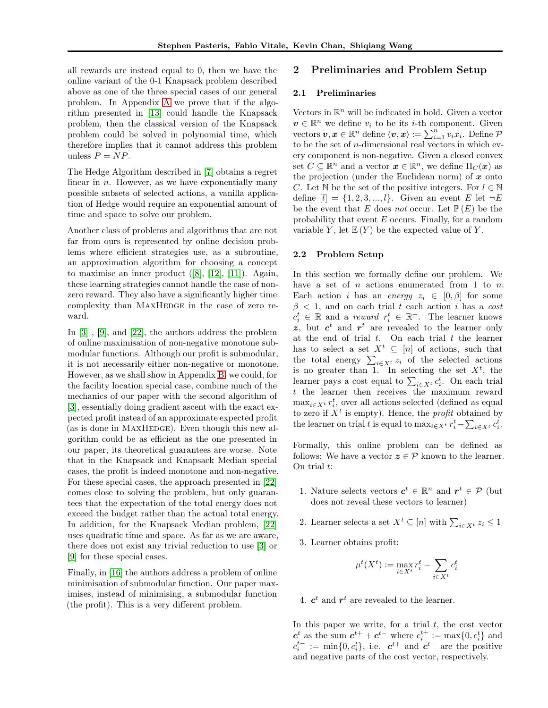all rewards are instead equal to 0, then we have the online variant of the 0-1 Knapsack problem described above as one of the three special cases of our general problem. In Appendix [A](#page-10-4) we prove that if the algorithm presented in [\[13\]](#page-9-7) could handle the Knapsack problem, then the classical version of the Knapsack problem could be solved in polynomial time, which therefore implies that it cannot address this problem unless  $P = NP$ .

The Hedge Algorithm described in [\[7\]](#page-9-8) obtains a regret linear in  $n$ . However, as we have exponentially many possible subsets of selected actions, a vanilla application of Hedge would require an exponential amount of time and space to solve our problem.

Another class of problems and algorithms that are not far from ours is represented by online decision problems where efficient strategies use, as a subroutine, an approximation algorithm for choosing a concept to maximise an inner product ([\[8\]](#page-9-9), [\[12\]](#page-9-10), [\[11\]](#page-9-11)). Again, these learning strategies cannot handle the case of nonzero reward. They also have a significantly higher time complexity than MAXHEDGE in the case of zero reward.

In [\[3\]](#page-9-12) , [\[9\]](#page-9-13), and [\[22\]](#page-10-5), the authors address the problem of online maximisation of non-negative monotone submodular functions. Although our profit is submodular, it is not necessarily either non-negative or monotone. However, as we shall show in Appendix [B,](#page-10-6) we could, for the facility location special case, combine much of the mechanics of our paper with the second algorithm of [\[3\]](#page-9-12), essentially doing gradient ascent with the exact expected profit instead of an approximate expected profit (as is done in MAXHEDGE). Even though this new algorithm could be as efficient as the one presented in our paper, its theoretical guarantees are worse. Note that in the Knapsack and Knapsack Median special cases, the profit is indeed monotone and non-negative. For these special cases, the approach presented in [\[22\]](#page-10-5) comes close to solving the problem, but only guarantees that the expectation of the total energy does not exceed the budget rather than the actual total energy. In addition, for the Knapsack Median problem, [\[22\]](#page-10-5) uses quadratic time and space. As far as we are aware, there does not exist any trivial reduction to use [\[3\]](#page-9-12) or [\[9\]](#page-9-13) for these special cases.

Finally, in [\[16\]](#page-9-14) the authors address a problem of online minimisation of submodular function. Our paper maximises, instead of minimising, a submodular function (the profit). This is a very different problem.

### 2 Preliminaries and Problem Setup

#### 2.1 Preliminaries

Vectors in  $\mathbb{R}^n$  will be indicated in bold. Given a vector  $v \in \mathbb{R}^n$  we define  $v_i$  to be its *i*-th component. Given vectors  $v, x \in \mathbb{R}^n$  define  $\langle v, x \rangle := \sum_{i=1}^n v_i x_i$ . Define  $\mathcal{P}$ to be the set of  $n$ -dimensional real vectors in which every component is non-negative. Given a closed convex set  $C \subseteq \mathbb{R}^n$  and a vector  $\boldsymbol{x} \in \mathbb{R}^n$ , we define  $\Pi_C(\boldsymbol{x})$  as the projection (under the Euclidean norm) of  $x$  onto C. Let N be the set of the positive integers. For  $l \in \mathbb{N}$ define  $[l] = \{1, 2, 3, ..., l\}$ . Given an event E let  $\neg E$ be the event that E does *not* occur. Let  $\mathbb{P}(E)$  be the probability that event  $E$  occurs. Finally, for a random variable Y, let  $E(Y)$  be the expected value of Y.

#### <span id="page-2-0"></span>2.2 Problem Setup

In this section we formally define our problem. We have a set of  $n$  actions enumerated from 1 to  $n$ . Each action *i* has an *energy*  $z_i \in [0, \beta]$  for some  $\beta$  < 1, and on each trial t each action i has a *cost*  $c_i^t \in \mathbb{R}$  and a *reward*  $r_i^t \in \mathbb{R}^+$ . The learner knows z, but  $c^t$  and  $r^t$  are revealed to the learner only at the end of trial  $t$ . On each trial  $t$  the learner has to select a set  $X^t \subseteq [n]$  of actions, such that the total energy  $\sum_{i\in X^t} z_i$  of the selected actions is no greater than 1. In selecting the set  $X^t$ , the learner pays a cost equal to  $\sum_{i \in X^t} c_i^t$ . On each trial t the learner then receives the maximum reward  $\max_{i \in X^t} r_i^t$ , over all actions selected (defined as equal to zero if  $X<sup>t</sup>$  is empty). Hence, the *profit* obtained by the learner on trial t is equal to  $\max_{i \in X^t} r_i^t - \sum_{i \in X^t} c_i^t$ .

Formally, this online problem can be defined as follows: We have a vector  $z \in \mathcal{P}$  known to the learner. On trial t:

- 1. Nature selects vectors  $c^t \in \mathbb{R}^n$  and  $r^t \in \mathcal{P}$  (but does not reveal these vectors to learner)
- 2. Learner selects a set  $X^t \subseteq [n]$  with  $\sum_{i \in X^t} z_i \leq 1$
- 3. Learner obtains profit:

$$
\mu^t(X^t) := \max_{i \in X^t} r_i^t - \sum_{i \in X^t} c_i^t
$$

4.  $c^t$  and  $r^t$  are revealed to the learner.

In this paper we write, for a trial  $t$ , the cost vector  $\mathbf{c}^{t}$  as the sum  $\mathbf{c}^{t+} + \mathbf{c}^{t-}$  where  $c_i^{t+} := \max\{0, c_i^{t}\}\$  and  $c_i^{t-} := \min\{0, c_i^t\},$  i.e.  $c^{t+}$  and  $c^{t-}$  are the positive and negative parts of the cost vector, respectively.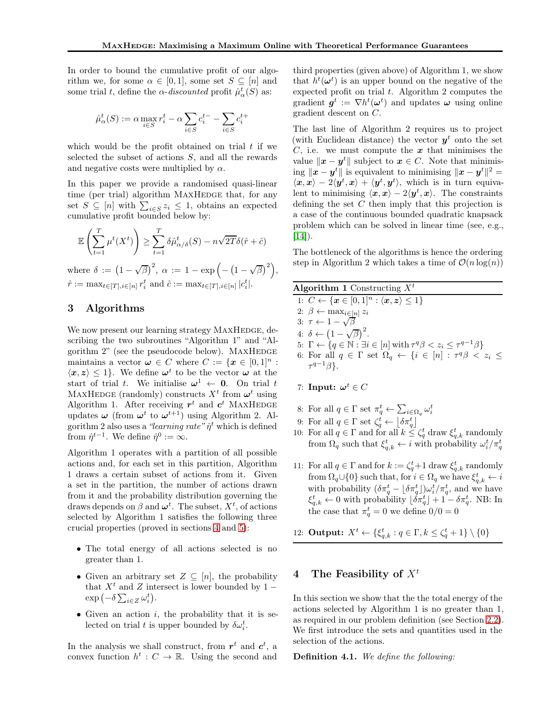In order to bound the cumulative profit of our algorithm we, for some  $\alpha \in [0,1]$ , some set  $S \subseteq [n]$  and some trial t, define the  $\alpha$ -discounted profit  $\hat{\mu}^t_{\alpha}(S)$  as:

$$
\hat{\mu}_{\alpha}^t(S) := \alpha \max_{i \in S} r_i^t - \alpha \sum_{i \in S} c_i^{t-} - \sum_{i \in S} c_i^{t+}
$$

which would be the profit obtained on trial  $t$  if we selected the subset of actions  $S$ , and all the rewards and negative costs were multiplied by  $\alpha$ .

In this paper we provide a randomised quasi-linear time (per trial) algorithm MAXHEDGE that, for any set  $S \subseteq [n]$  with  $\sum_{i \in S} z_i \leq 1$ , obtains an expected cumulative profit bounded below by:

$$
\mathbb{E}\left(\sum_{t=1}^T \mu^t(X^t)\right) \ge \sum_{t=1}^T \delta \hat{\mu}_{\alpha/\delta}^t(S) - n\sqrt{2T}\delta(\hat{r} + \hat{c})
$$

where  $\delta := (1 - \sqrt{\beta})^2$ ,  $\alpha := 1 - \exp\left(-\left(1 - \sqrt{\beta}\right)^2\right)$ ,  $\hat{r} := \max_{t \in [T], i \in [n]} r_i^t$  and  $\hat{c} := \max_{t \in [T], i \in [n]} |c_i^t|$ .

# 3 Algorithms

We now present our learning strategy MAXHEDGE, describing the two subroutines "Algorithm 1" and "Algorithm  $2$ " (see the pseudocode below). MAXHEDGE maintains a vector  $\boldsymbol{\omega} \in C$  where  $C := \{ \boldsymbol{x} \in [0,1]^n :$  $\langle x, z \rangle \leq 1$ . We define  $\omega^t$  to be the vector  $\omega$  at the start of trial t. We initialise  $\omega^1 \leftarrow 0$ . On trial t MAXHEDGE (randomly) constructs  $X<sup>t</sup>$  from  $\boldsymbol{\omega}^t$  using Algorithm 1. After receiving  $r^t$  and  $c^t$  MAXHEDGE updates  $\omega$  (from  $\omega^t$  to  $\omega^{t+1}$ ) using Algorithm 2. Algorithm 2 also uses a *"learning rate"*  $\hat{\eta}^t$  which is defined from  $\hat{\eta}^{t-1}$ . We define  $\hat{\eta}^0 := \infty$ .

Algorithm 1 operates with a partition of all possible actions and, for each set in this partition, Algorithm 1 draws a certain subset of actions from it. Given a set in the partition, the number of actions drawn from it and the probability distribution governing the draws depends on  $\beta$  and  $\boldsymbol{\omega}^t$ . The subset,  $X^t$ , of actions selected by Algorithm 1 satisfies the following three crucial properties (proved in sections [4](#page-3-0) and [5\)](#page-4-0):

- The total energy of all actions selected is no greater than 1.
- Given an arbitrary set  $Z \subseteq [n]$ , the probability that  $X<sup>t</sup>$  and Z intersect is lower bounded by 1 −  $\exp\left(-\delta \sum_{i\in Z}\omega_i^t\right).$
- Given an action  $i$ , the probability that it is selected on trial t is upper bounded by  $\delta \omega_i^t$ .

In the analysis we shall construct, from  $r<sup>t</sup>$  and  $c<sup>t</sup>$ , a convex function  $h^t: C \to \mathbb{R}$ . Using the second and third properties (given above) of Algorithm 1, we show that  $h^t(\boldsymbol{\omega}^t)$  is an upper bound on the negative of the expected profit on trial  $t$ . Algorithm 2 computes the gradient  $g^t := \nabla h^t(\boldsymbol{\omega}^t)$  and updates  $\boldsymbol{\omega}$  using online gradient descent on C.

The last line of Algorithm 2 requires us to project (with Euclidean distance) the vector  $y^t$  onto the set  $C$ , i.e. we must compute the  $x$  that minimises the value  $\|\boldsymbol{x} - \boldsymbol{y}^t\|$  subject to  $\boldsymbol{x} \in C$ . Note that minimis- $\lim_{k \to \infty} \|x - y^t\|$  is equivalent to minimising  $\|x - y^t\|^2 =$  $\langle x, x \rangle - 2\langle y^t, x \rangle + \langle y^t, y^t \rangle$ , which is in turn equivalent to minimising  $\langle x, x \rangle - 2\langle y^t, x \rangle$ . The constraints defining the set  $C$  then imply that this projection is a case of the continuous bounded quadratic knapsack problem which can be solved in linear time (see, e.g.,  $[14]$ ).

The bottleneck of the algorithms is hence the ordering step in Algorithm 2 which takes a time of  $\mathcal{O}(n \log(n))$ 

| Algorithm 1 Constructing $X^t$                                                                                          |
|-------------------------------------------------------------------------------------------------------------------------|
| 1: $C \leftarrow \{x \in [0,1]^n : \langle x, z \rangle \leq 1\}$                                                       |
| 2: $\beta \leftarrow \max_{i \in [n]} z_i$                                                                              |
| 3: $\tau \leftarrow 1 - \sqrt{\beta}$                                                                                   |
| 4: $\delta \leftarrow (1 - \sqrt{\beta})^2$ .                                                                           |
| 5: $\Gamma \leftarrow \{q \in \mathbb{N} : \exists i \in [n] \text{ with } \tau^q \beta < z_i \leq \tau^{q-1} \beta \}$ |
| 6: For all $q \in \Gamma$ set $\Omega_q \leftarrow \{i \in [n] : \tau^q \beta < z_i \leq$                               |
| $\tau^{q-1}\beta$ .                                                                                                     |
|                                                                                                                         |

- 7: Input:  $\boldsymbol{\omega}^t \in C$
- 8: For all  $q \in \Gamma$  set  $\pi_q^t \leftarrow \sum_{i \in \Omega_q} \omega_i^t$
- 9: For all  $q \in \Gamma$  set  $\zeta_q^t \leftarrow \lfloor \delta \pi_q^t \rfloor$
- 10: For all  $q \in \Gamma$  and for all  $k \leq \zeta_q^t$  draw  $\xi_{q,k}^t$  randomly from  $\Omega_q$  such that  $\xi_{q,k}^t \leftarrow i$  with probability  $\omega_i^t / \pi_q^t$
- 11: For all  $q \in \Gamma$  and for  $k := \zeta_q^t + 1$  draw  $\xi_{q,k}^t$  randomly from  $\Omega_q \cup \{0\}$  such that, for  $i \in \Omega_q$  we have  $\xi_{q,k}^t \leftarrow i$ with probability  $(\delta \pi_q^t - \lfloor \delta \pi_q^t \rfloor) \omega_i^t / \pi_q^t$ , and we have  $\xi_{q,k}^t \leftarrow 0$  with probability  $\lfloor \delta \pi_q^t \rfloor + 1 - \delta \pi_q^t$ . NB: In the case that  $\pi_q^t = 0$  we define  $0/0 = 0$

12: **Output:**  $X^t \leftarrow {\{\xi_{q,k}^t : q \in \Gamma, k \leq \zeta_q^t + 1\}} \setminus \{0\}$ 

# <span id="page-3-0"></span>4 The Feasibility of  $X^t$

In this section we show that the the total energy of the actions selected by Algorithm 1 is no greater than 1, as required in our problem definition (see Section [2.2\)](#page-2-0). We first introduce the sets and quantities used in the selection of the actions.

Definition 4.1. *We define the following:*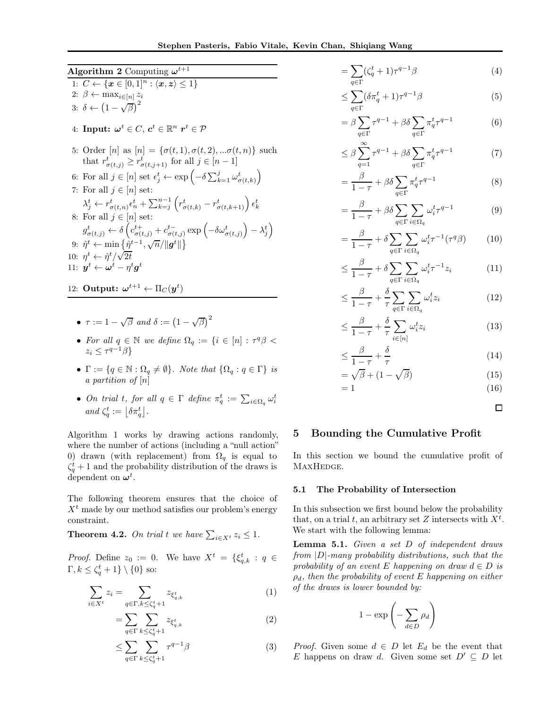Algorithm 2 Computing  $\omega^{t+1}$ 

1:  $C \leftarrow \{x \in [0,1]^n : \langle x, z \rangle \leq 1\}$ 2:  $\beta \leftarrow \max_{i \in [n]} z_i$ 3:  $\delta \leftarrow \left(1 - \sqrt{\beta}\right)^2$ 4: Input:  $\boldsymbol{\omega}^t \in C, \, \boldsymbol{c}^t \in \mathbb{R}^n$   $\boldsymbol{r}^t \in \mathcal{P}$ 5: Order  $[n]$  as  $[n] = {\sigma(t, 1), \sigma(t, 2), \ldots, \sigma(t, n)}$  such that  $r^t_{\sigma(t,j)} \geq r^t_{\sigma(t,j+1)}$  for all  $j \in [n-1]$ 6: For all  $j \in [n]$  set  $\epsilon_j^t \leftarrow \exp\left(-\delta \sum_{k=1}^j \omega_{\sigma(t,k)}^t\right)$ 7: For all  $j\in [n]$  set:  $\lambda_j^t \leftarrow r_{\sigma(t,n)}^t \epsilon_n^t + \sum_{k=j}^{n-1} \left( r_{\sigma(t,k)}^t - r_{\sigma(t,k+1)}^t \right) \epsilon_k^t$ 8: For all  $j \in [n]$  set:  $g^t_{\sigma(t,j)} \leftarrow \delta \left( c^{t+}_{\sigma(t,j)} + c^{t-}_{\sigma(t,j)} \exp \left( - \delta \omega^t_{\sigma(t,j)} \right) - \lambda^t_j \right)$ 9:  $\hat{\eta}^t \leftarrow \min \left\{ \frac{\hat{\eta}^{t-1}, \sqrt{n}}{\|\boldsymbol{g}^t\|} \right\}$ 10:  $\eta^t \leftarrow \hat{\eta}^t / \sqrt{2t}$ 11:  $\boldsymbol{y}^t \leftarrow \boldsymbol{\omega}^t - \eta^t \boldsymbol{g}^t$ 

12: Output:  $\boldsymbol{\omega}^{t+1} \leftarrow \Pi_C(\boldsymbol{y}^t)$ 

• 
$$
\tau := 1 - \sqrt{\beta}
$$
 and  $\delta := (1 - \sqrt{\beta})^2$ 

- For all  $q \in \mathbb{N}$  we define  $\Omega_q := \{ i \in [n] : \tau^q \beta <$  $z_i \leq \tau^{q-1}\beta$
- $\Gamma := \{q \in \mathbb{N} : \Omega_q \neq \emptyset\}$ *. Note that*  $\{\Omega_q : q \in \Gamma\}$  *is a partition of* [n]
- *On trial t, for all*  $q \in \Gamma$  *define*  $\pi_q^t := \sum_{i \in \Omega_q} \omega_i^t$ *and*  $\zeta_q^t := \lfloor \delta \pi_q^t \rfloor$ .

Algorithm 1 works by drawing actions randomly, where the number of actions (including a "null action" 0) drawn (with replacement) from  $\Omega_q$  is equal to  $\zeta_q^t$  + 1 and the probability distribution of the draws is dependent on  $\boldsymbol{\omega}^t$ .

The following theorem ensures that the choice of  $X<sup>t</sup>$  made by our method satisfies our problem's energy constraint.

**Theorem 4.2.** On trial t we have  $\sum_{i \in X^t} z_i \leq 1$ .

*Proof.* Define  $z_0 := 0$ . We have  $X^t = \{\xi_{q,k}^t : q \in$  $\Gamma, k \leq \zeta_q^t + 1 \} \setminus \{0\}$  so:

$$
\sum_{i \in X^t} z_i = \sum_{q \in \Gamma, k \le \zeta_q^t + 1} z_{\xi_{q,k}^t} \tag{1}
$$

$$
=\sum_{q\in\Gamma}\sum_{k\leq\zeta_q^t+1}z_{\xi_{q,k}^t}\tag{2}
$$

$$
\leq \sum_{q \in \Gamma} \sum_{k \leq \zeta_q^t + 1} \tau^{q-1} \beta \tag{3}
$$

$$
=\sum_{q\in\Gamma}(\zeta_q^t+1)\tau^{q-1}\beta\tag{4}
$$

$$
\leq \sum_{q \in \Gamma} (\delta \pi_q^t + 1) \tau^{q-1} \beta \tag{5}
$$

$$
= \beta \sum_{q \in \Gamma} \tau^{q-1} + \beta \delta \sum_{q \in \Gamma} \pi_q^t \tau^{q-1}
$$
 (6)

$$
\leq \beta \sum_{q=1}^{\infty} \tau^{q-1} + \beta \delta \sum_{q \in \Gamma} \pi_q^t \tau^{q-1} \tag{7}
$$

$$
=\frac{\beta}{1-\tau}+\beta\delta\sum_{q\in\Gamma}\pi_q^t\tau^{q-1}\tag{8}
$$

$$
= \frac{\beta}{1-\tau} + \beta \delta \sum_{q \in \Gamma} \sum_{i \in \Omega_q} \omega_i^t \tau^{q-1}
$$
 (9)

$$
= \frac{\beta}{1-\tau} + \delta \sum_{q \in \Gamma} \sum_{i \in \Omega_q} \omega_i^t \tau^{-1} (\tau^q \beta) \tag{10}
$$

$$
\leq \frac{\beta}{1-\tau} + \delta \sum_{q \in \Gamma} \sum_{i \in \Omega_q} \omega_i^t \tau^{-1} z_i \tag{11}
$$

$$
\leq \frac{\beta}{1-\tau} + \frac{\delta}{\tau} \sum_{q \in \Gamma} \sum_{i \in \Omega_q} \omega_i^t z_i \tag{12}
$$

$$
\leq \frac{\beta}{1-\tau} + \frac{\delta}{\tau} \sum_{i \in [n]} \omega_i^t z_i \tag{13}
$$

$$
\leq \frac{\beta}{1-\tau} + \frac{\delta}{\tau} \tag{14}
$$

$$
= \sqrt{\beta} + (1 - \sqrt{\beta})
$$
(15)  
= 1 (16)

$$
(\mathbf{10})
$$

 $\Box$ 

# <span id="page-4-0"></span>5 Bounding the Cumulative Profit

In this section we bound the cumulative profit of MAXHEDGE.

#### 5.1 The Probability of Intersection

In this subsection we first bound below the probability that, on a trial t, an arbitrary set Z intersects with  $X^t$ . We start with the following lemma:

<span id="page-4-1"></span>Lemma 5.1. *Given a set* D *of independent draws from* |D|*-many probability distributions, such that the probability of an event* E *happening on draw*  $d \in D$  *is* ρd*, then the probability of event* E *happening on either of the draws is lower bounded by:*

$$
1 - \exp\left(-\sum_{d \in D} \rho_d\right)
$$

*Proof.* Given some  $d \in D$  let  $E_d$  be the event that E happens on draw d. Given some set  $D' \subseteq D$  let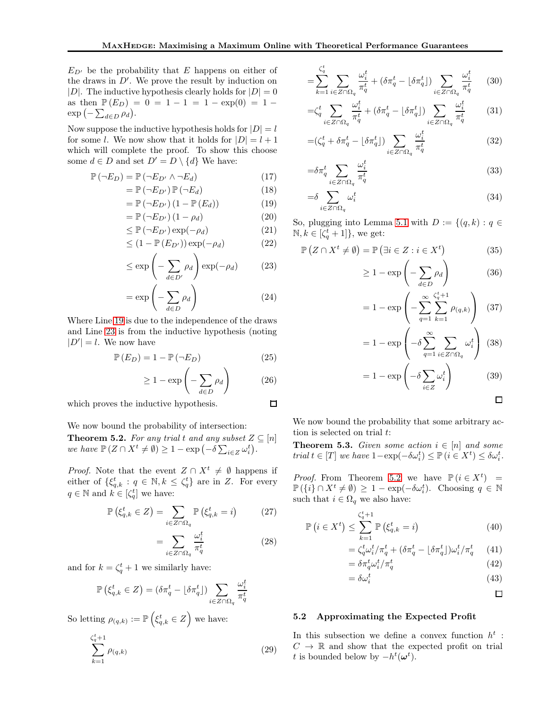$E_{D'}$  be the probability that E happens on either of the draws in  $D'$ . We prove the result by induction on |D|. The inductive hypothesis clearly holds for  $|D| = 0$ as then  $\mathbb{P}(E_D) = 0 = 1 - 1 = 1 - \exp(0) = 1 \exp(-\sum_{d\in D}\rho_d).$ 

Now suppose the inductive hypothesis holds for  $|D| = l$ for some *l*. We now show that it holds for  $|D| = l + 1$ which will complete the proof. To show this choose some  $d \in D$  and set  $D' = D \setminus \{d\}$  We have:

$$
\mathbb{P}(\neg E_D) = \mathbb{P}(\neg E_{D'} \land \neg E_d) \tag{17}
$$

$$
= \mathbb{P}\left(\neg E_{D'}\right) \mathbb{P}\left(\neg E_d\right) \tag{18}
$$

$$
= \mathbb{P}\left(\neg E_{D'}\right)\left(1 - \mathbb{P}\left(E_d\right)\right) \tag{19}
$$

$$
= \mathbb{P}\left(\neg E_{D'}\right)\left(1 - \rho_d\right) \tag{20}
$$

$$
\leq \mathbb{P}\left(\neg E_{D'}\right) \exp(-\rho_d) \tag{21}
$$

$$
\leq (1 - \mathbb{P}(E_{D'})) \exp(-\rho_d) \tag{22}
$$

$$
\leq \exp\left(-\sum_{d \in D'} \rho_d\right) \exp(-\rho_d) \tag{23}
$$

$$
= \exp\left(-\sum_{d \in D} \rho_d\right) \tag{24}
$$

Where Line [19](#page-5-0) is due to the independence of the draws and Line [23](#page-5-1) is from the inductive hypothesis (noting  $|D'| = l$ . We now have

$$
\mathbb{P}\left(E_D\right) = 1 - \mathbb{P}\left(\neg E_D\right) \tag{25}
$$

$$
\geq 1 - \exp\left(-\sum_{d \in D} \rho_d\right) \tag{26}
$$
  
adductive hypothesis.  $\square$ 

which proves the inductive hypothesis.

We now bound the probability of intersection:

<span id="page-5-2"></span>**Theorem 5.2.** For any trial t and any subset  $Z \subseteq [n]$ *we have*  $\mathbb{P}(Z \cap X^t \neq \emptyset) \geq 1 - \exp(-\delta \sum_{i \in Z} \omega_i^t).$ 

*Proof.* Note that the event  $Z \cap X^t \neq \emptyset$  happens if either of  $\{\xi_{q,k}^t : q \in \mathbb{N}, k \leq \zeta_q^t\}$  are in Z. For every  $q \in \mathbb{N}$  and  $k \in \left[\zeta_q^t\right]$  we have:

$$
\mathbb{P}\left(\xi_{q,k}^t \in Z\right) = \sum_{i \in Z \cap \Omega_q} \mathbb{P}\left(\xi_{q,k}^t = i\right) \tag{27}
$$

$$
=\sum_{i\in Z\cap\Omega_q}\frac{\omega_i^t}{\pi_q^t}\tag{28}
$$

and for  $k = \zeta_q^t + 1$  we similarly have:

$$
\mathbb{P}\left(\xi_{q,k}^t \in Z\right) = \left(\delta \pi_q^t - \lfloor \delta \pi_q^t \rfloor\right) \sum_{i \in Z \cap \Omega_q} \frac{\omega_i^t}{\pi_q^t}
$$

So letting  $\rho_{(q,k)} := \mathbb{P}\left(\xi_{q,k}^t \in Z\right)$  we have:

$$
\sum_{k=1}^{\zeta_q^t + 1} \rho_{(q,k)} \tag{29}
$$

$$
= \sum_{k=1}^{\zeta_q^t} \sum_{i \in Z \cap \Omega_q} \frac{\omega_i^t}{\pi_q^t} + (\delta \pi_q^t - \lfloor \delta \pi_q^t \rfloor) \sum_{i \in Z \cap \Omega_q} \frac{\omega_i^t}{\pi_q^t} \qquad (30)
$$

$$
=\zeta_q^t \sum_{i \in Z \cap \Omega_q} \frac{\omega_i^t}{\pi_q^t} + (\delta \pi_q^t - \lfloor \delta \pi_q^t \rfloor) \sum_{i \in Z \cap \Omega_q} \frac{\omega_i^t}{\pi_q^t} \tag{31}
$$

$$
=(\zeta_q^t + \delta \pi_q^t - \lfloor \delta \pi_q^t \rfloor) \sum_{i \in Z \cap \Omega_q} \frac{\omega_i^t}{\pi_q^t}
$$
 (32)

$$
=\delta \pi_q^t \sum_{i \in Z \cap \Omega_q} \frac{\omega_i^t}{\pi_q^t} \tag{33}
$$

$$
=\delta \sum_{i \in Z \cap \Omega_q} \omega_i^t \tag{34}
$$

<span id="page-5-0"></span>So, plugging into Lemma [5.1](#page-4-1) with  $D := \{(q, k) : q \in$  $\mathbb{N}, k \in [\zeta_q^t + 1]$ , we get:

<span id="page-5-1"></span>
$$
\mathbb{P}\left(Z \cap X^t \neq \emptyset\right) = \mathbb{P}\left(\exists i \in Z : i \in X^t\right) \tag{35}
$$

$$
\geq 1 - \exp\left(-\sum_{d \in D} \rho_d\right) \tag{36}
$$

$$
= 1 - \exp\left(-\sum_{q=1}^{\infty} \sum_{k=1}^{\zeta_q^t + 1} \rho_{(q,k)}\right)
$$
 (37)

$$
= 1 - \exp\left(-\delta \sum_{q=1}^{\infty} \sum_{i \in Z \cap \Omega_q} \omega_i^t\right) (38)
$$

$$
= 1 - \exp\left(-\delta \sum_{i \in Z} \omega_i^t\right) \tag{39}
$$

$$
\Box
$$

We now bound the probability that some arbitrary action is selected on trial t:

<span id="page-5-3"></span>**Theorem 5.3.** *Given some action*  $i \in [n]$  *and some trial*  $t \in [T]$  *we have*  $1 - \exp(-\delta \omega_i^t) \leq \mathbb{P}(i \in X^t) \leq \delta \omega_i^t$ .

*Proof.* From Theorem [5.2](#page-5-2) we have  $\mathbb{P}(i \in X^t)$  =  $\mathbb{P}(\lbrace i \rbrace \cap X^t \neq \emptyset) \geq 1 - \exp(-\delta \omega_i^t)$ . Choosing  $q \in \mathbb{N}$ such that  $i \in \Omega_q$  we also have:

$$
\mathbb{P}\left(i \in X^t\right) \le \sum_{k=1}^{\zeta_q^t + 1} \mathbb{P}\left(\xi_{q,k}^t = i\right) \tag{40}
$$

$$
= \zeta_q^t \omega_i^t / \pi_q^t + (\delta \pi_q^t - \lfloor \delta \pi_q^t \rfloor) \omega_i^t / \pi_q^t \qquad (41)
$$
  

$$
= \delta \pi^t \omega^t / \pi^t \qquad (42)
$$

$$
= \delta \pi_q^t \omega_i^t / \pi_q^t \tag{42}
$$

$$
=\delta\omega_i^t\tag{43}
$$

 $\Box$ 

#### 5.2 Approximating the Expected Profit

In this subsection we define a convex function  $h^t$ :  $C \rightarrow \mathbb{R}$  and show that the expected profit on trial t is bounded below by  $-h^t(\boldsymbol{\omega}^t)$ .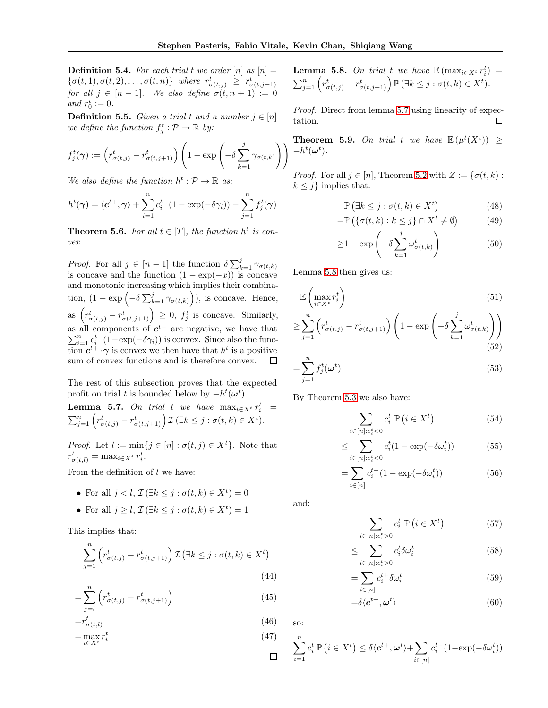**Definition 5.4.** For each trial t we order  $[n]$  as  $[n] =$  $\{\sigma(t,1), \sigma(t,2), \ldots, \sigma(t,n)\}\$  where  $r^t_{\sigma(t,j)} \geq r^t_{\sigma(t,j+1)}$ *for all*  $j \in [n-1]$ *. We also define*  $\sigma(t, n+1) := 0$ *and*  $r_0^t := 0$ .

**Definition 5.5.** *Given a trial t and a number*  $j \in [n]$ *we define the function*  $f_j^t : \mathcal{P} \to \mathbb{R}$  by:

$$
f_j^t(\boldsymbol{\gamma}) := \left(r_{\sigma(t,j)}^t - r_{\sigma(t,j+1)}^t\right) \left(1 - \exp\left(-\delta \sum_{k=1}^j \gamma_{\sigma(t,k)}\right)\right)
$$

*We also define the function*  $h^t : \mathcal{P} \to \mathbb{R}$  *as:* 

$$
h^{t}(\boldsymbol{\gamma}) = \langle \boldsymbol{c}^{t+}, \boldsymbol{\gamma} \rangle + \sum_{i=1}^{n} c_{i}^{t-} (1 - \exp(-\delta \gamma_{i})) - \sum_{j=1}^{n} f_{j}^{t}(\boldsymbol{\gamma})
$$

<span id="page-6-2"></span>**Theorem 5.6.** For all  $t \in [T]$ , the function  $h^t$  is con*vex.*

*Proof.* For all  $j \in [n-1]$  the function  $\delta \sum_{k=1}^{j} \gamma_{\sigma(t,k)}$ is concave and the function  $(1 - \exp(-x))$  is concave and monotonic increasing which implies their combination,  $(1 - \exp(-\delta \sum_{k=1}^{j} \gamma_{\sigma(t,k)})\),$  is concave. Hence, as  $(r^t_{\sigma(t,j)} - r^t_{\sigma(t,j+1)}) \geq 0$ ,  $f^t_j$  is concave. Similarly, as all components of  $c^{t-}$  are negative, we have that  $\sum_{i=1}^{n} c_i^{t-} (1 - \exp(-\delta \gamma_i))$  is convex. Since also the function  $c^{t+} \cdot \gamma$  is convex we then have that  $h^t$  is a positive sum of convex functions and is therefore convex. □

The rest of this subsection proves that the expected profit on trial t is bounded below by  $-h^t(\boldsymbol{\omega}^t)$ .

<span id="page-6-0"></span>**Lemma 5.7.** On trial t we have  $\max_{i \in X^t} r_i^t =$  $\sum_{j=1}^n \left( r^t_{\sigma(t,j)} - r^t_{\sigma(t,j+1)} \right) \mathcal{I} \left( \exists k \leq j : \sigma(t,k) \in X^t \right).$ 

*Proof.* Let  $l := \min\{j \in [n] : \sigma(t, j) \in X^t\}$ . Note that  $r^t_{\sigma(t,l)} = \max_{i \in X^t} r^t_i.$ 

From the definition of  $l$  we have:

- For all  $j < l$ ,  $\mathcal{I}(\exists k \leq j : \sigma(t, k) \in X^t) = 0$
- For all  $j \geq l$ ,  $\mathcal{I}(\exists k \leq j : \sigma(t, k) \in X^t) = 1$

This implies that:

$$
\sum_{j=1}^{n} \left( r_{\sigma(t,j)}^{t} - r_{\sigma(t,j+1)}^{t} \right) \mathcal{I} \left( \exists k \leq j : \sigma(t,k) \in X^{t} \right)
$$
\n(44)

$$
=\sum_{j=l}^{n} \left( r_{\sigma(t,j)}^{t} - r_{\sigma(t,j+1)}^{t} \right) \tag{45}
$$

$$
=r^t_{\sigma(t,l)}\tag{46}
$$

$$
=\max_{i\in X^t} r_i^t\tag{47}
$$

<span id="page-6-1"></span>**Lemma 5.8.** On trial t we have  $\mathbb{E}(\max_{i \in X^t} r_i^t)$  =  $\sum_{j=1}^n \left( r^t_{\sigma(t,j)} - r^t_{\sigma(t,j+1)} \right) \mathbb{P} \left( \exists k \leq j : \sigma(t,k) \in X^t \right).$ 

*Proof.* Direct from lemma [5.7](#page-6-0) using linearity of expectation.  $\Box$ 

<span id="page-6-3"></span>**Theorem 5.9.** On trial t we have  $\mathbb{E}(\mu^t(X^t)) \geq$  $-h^t(\boldsymbol{\omega}^t)$ .

*Proof.* For all  $j \in [n]$ , Theorem [5.2](#page-5-2) with  $Z := \{ \sigma(t, k) :$  $k \leq j$  implies that:

$$
\mathbb{P}\left(\exists k \le j : \sigma(t, k) \in X^t\right) \tag{48}
$$

$$
= \mathbb{P}\left(\{\sigma(t,k) : k \le j\} \cap X^t \neq \emptyset\right) \tag{49}
$$

$$
\geq 1 - \exp\left(-\delta \sum_{k=1}^{j} \omega_{\sigma(t,k)}^{t}\right) \tag{50}
$$

Lemma [5.8](#page-6-1) then gives us:

$$
\mathbb{E}\left(\max_{i\in X^t} r_i^t\right) \tag{51}
$$

$$
\geq \sum_{j=1}^{n} \left( r_{\sigma(t,j)}^{t} - r_{\sigma(t,j+1)}^{t} \right) \left( 1 - \exp \left( -\delta \sum_{k=1}^{j} \omega_{\sigma(t,k)}^{t} \right) \right)
$$
\n(52)

$$
=\sum_{j=1}^{n} f_j^t(\boldsymbol{\omega}^t) \tag{53}
$$

By Theorem [5.3](#page-5-3) we also have:

$$
\sum_{i \in [n]: c_i^t < 0} c_i^t \, \mathbb{P}\left(i \in X^t\right) \tag{54}
$$

$$
\leq \sum_{i \in [n]: c_i^t < 0} c_i^t (1 - \exp(-\delta \omega_i^t)) \tag{55}
$$

$$
=\sum_{i\in[n]}c_i^{t-}(1-\exp(-\delta\omega_i^t))\tag{56}
$$

and:

so:

 $\Box$ 

$$
\sum_{i \in [n]: c_i^t > 0} c_i^t \, \mathbb{P}\left(i \in X^t\right) \tag{57}
$$

$$
\leq \sum_{i \in [n]: c_i^t > 0} c_i^t \delta \omega_i^t \tag{58}
$$

$$
=\sum_{i\in[n]}c_i^{t+}\delta\omega_i^t\tag{59}
$$

$$
=\delta\langle \mathbf{c}^{t+}, \mathbf{\omega}^t \rangle \tag{60}
$$

$$
\sum_{i=1}^{n} c_i^t \, \mathbb{P}\left(i \in X^t\right) \le \delta \langle \mathbf{c}^{t+}, \boldsymbol{\omega}^t \rangle + \sum_{i \in [n]} c_i^{t-} (1 - \exp(-\delta \omega_i^t))
$$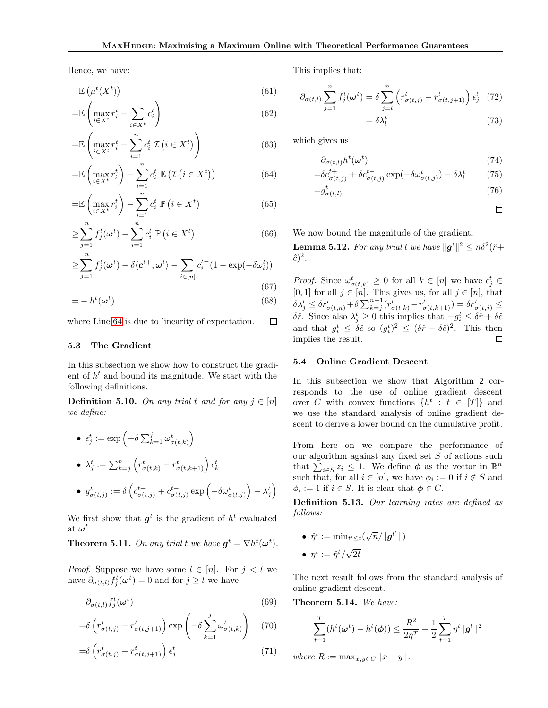Hence, we have:

$$
\mathbb{E}\left(\mu^t(X^t)\right) \tag{61}
$$

$$
=\mathbb{E}\left(\max_{i\in X^t}r_i^t-\sum_{i\in X^t}c_i^t\right)
$$
\n(62)

$$
= \mathbb{E}\left(\max_{i \in X^t} r_i^t - \sum_{i=1}^n c_i^t \mathcal{I}\left(i \in X^t\right)\right) \tag{63}
$$

$$
= \mathbb{E}\left(\max_{i \in X^t} r_i^t\right) - \sum_{i=1}^n c_i^t \mathbb{E}\left(\mathcal{I}\left(i \in X^t\right)\right) \tag{64}
$$

$$
= \mathbb{E}\left(\max_{i \in X^t} r_i^t\right) - \sum_{i=1}^n c_i^t \, \mathbb{P}\left(i \in X^t\right) \tag{65}
$$

$$
\geq \sum_{j=1}^{n} f_j^t(\boldsymbol{\omega}^t) - \sum_{i=1}^{n} c_i^t \, \mathbb{P}\left(i \in X^t\right) \tag{66}
$$

$$
\geq \sum_{j=1}^{n} f_j^t(\boldsymbol{\omega}^t) - \delta \langle \boldsymbol{c}^{t+}, \boldsymbol{\omega}^t \rangle - \sum_{i \in [n]} c_i^{t-} (1 - \exp(-\delta \omega_i^t))
$$
\n(67)

$$
=-h^t(\omega^t) \tag{68}
$$

 $\Box$ where Line [64](#page-7-0) is due to linearity of expectation.

#### 5.3 The Gradient

In this subsection we show how to construct the gradient of  $h^t$  and bound its magnitude. We start with the following definitions.

**Definition 5.10.** On any trial t and for any  $j \in [n]$ *we define:*

\n- \n
$$
\epsilon_j^t := \exp\left(-\delta \sum_{k=1}^j \omega_{\sigma(t,k)}^t\right)
$$
\n
\n- \n
$$
\lambda_j^t := \sum_{k=j}^n \left(r_{\sigma(t,k)}^t - r_{\sigma(t,k+1)}^t\right) \epsilon_k^t
$$
\n
\n- \n
$$
g_{\sigma(t,j)}^t := \delta \left(c_{\sigma(t,j)}^{t+1} + c_{\sigma(t,j)}^{t-1} \exp\left(-\delta \omega_{\sigma(t,j)}^t\right) - \lambda_j^t\right)
$$
\n
\n

We first show that  $g^t$  is the gradient of  $h^t$  evaluated  $\mathrm{at}\;\boldsymbol{\omega}^t.$ 

<span id="page-7-1"></span>**Theorem 5.11.** On any trial t we have  $g^t = \nabla h^t(\boldsymbol{\omega}^t)$ .

*Proof.* Suppose we have some  $l \in [n]$ . For  $j < l$  we have  $\partial_{\sigma(t,l)} f_j^t(\boldsymbol{\omega}^t) = 0$  and for  $j \geq l$  we have

$$
\partial_{\sigma(t,l)} f_j^t(\omega^t) \tag{69}
$$

$$
= \delta \left( r_{\sigma(t,j)}^t - r_{\sigma(t,j+1)}^t \right) \exp \left( -\delta \sum_{k=1}^j \omega_{\sigma(t,k)}^t \right) \tag{70}
$$

$$
= \delta \left( r_{\sigma(t,j)}^t - r_{\sigma(t,j+1)}^t \right) \epsilon_j^t \tag{71}
$$

This implies that:

$$
\partial_{\sigma(t,l)} \sum_{j=1}^{n} f_j^t(\boldsymbol{\omega}^t) = \delta \sum_{j=l}^{n} \left( r_{\sigma(t,j)}^t - r_{\sigma(t,j+1)}^t \right) \epsilon_j^t \tag{72}
$$

 $=\delta\lambda_{l}^{t}$  $(73)$ 

<span id="page-7-0"></span>which gives us

$$
\partial_{\sigma(t,l)} h^t(\omega^t) \tag{74}
$$

$$
= \delta c_{\sigma(t,j)}^{t+} + \delta c_{\sigma(t,j)}^{t-} \exp(-\delta \omega_{\sigma(t,j)}^t) - \delta \lambda_l^t \tag{75}
$$

$$
=g_{\sigma(t,l)}^t\tag{76}
$$

□

We now bound the magnitude of the gradient.

<span id="page-7-3"></span>**Lemma 5.12.** For any trial t we have  $||g^t||^2 \leq n\delta^2(\hat{r} +$  $\hat{c})^2$ .

*Proof.* Since  $\omega_{\sigma(t,k)}^t \geq 0$  for all  $k \in [n]$  we have  $\epsilon_j^t \in$ [0, 1] for all  $j \in [n]$ . This gives us, for all  $j \in [n]$ , that  $\delta \lambda_j^t \leq \delta r^t_{\sigma(t,n)} + \delta \sum_{k=j}^{n-1} (r^t_{\sigma(t,k)} - r^t_{\sigma(t,k+1)}) = \delta r^t_{\sigma(t,j)} \leq$ δr̂. Since also  $λ_j^t ≥ 0$  this implies that  $-q_i^t ≤ δr̂ + δĉ$ and that  $g_i^t \leq \delta \hat{c}$  so  $(g_i^t)^2 \leq (\delta \hat{r} + \delta \hat{c})^2$ . This then implies the result.  $\Box$ 

#### 5.4 Online Gradient Descent

In this subsection we show that Algorithm 2 corresponds to the use of online gradient descent over C with convex functions  $\{h^t : t \in [T]\}$  and we use the standard analysis of online gradient descent to derive a lower bound on the cumulative profit.

From here on we compare the performance of our algorithm against any fixed set  $S$  of actions such that  $\sum_{i \in S} z_i \leq 1$ . We define  $\phi$  as the vector in  $\mathbb{R}^n$ . such that, for all  $i \in [n]$ , we have  $\phi_i := 0$  if  $i \notin S$  and  $\phi_i := 1$  if  $i \in S$ . It is clear that  $\phi \in C$ .

Definition 5.13. *Our learning rates are defined as follows:*

\n- $$
\hat{\eta}^t := \min_{t' \leq t} (\sqrt{n}/\|\boldsymbol{g}^{t'}\|)
$$
\n- $\eta^t := \hat{\eta}^t / \sqrt{2t}$
\n

The next result follows from the standard analysis of online gradient descent.

<span id="page-7-2"></span>Theorem 5.14. *We have:*

$$
\sum_{t=1}^{T} (h^t(\boldsymbol{\omega}^t) - h^t(\boldsymbol{\phi})) \le \frac{R^2}{2\eta^T} + \frac{1}{2} \sum_{t=1}^{T} \eta^t \| \boldsymbol{g}^t \|^2
$$

*where*  $R := \max_{x,y \in C} ||x - y||$ .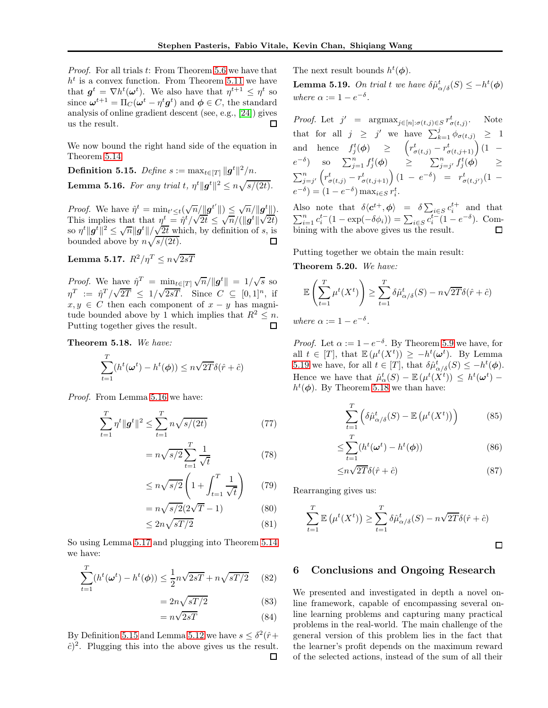*Proof.* For all trials t: From Theorem [5.6](#page-6-2) we have that  $h<sup>t</sup>$  is a convex function. From Theorem [5.11](#page-7-1) we have that  $g^t = \nabla h^t(\boldsymbol{\omega}^t)$ . We also have that  $\eta^{t+1} \leq \eta^t$  so since  $\boldsymbol{\omega}^{t+1} = \Pi_C(\boldsymbol{\omega}^t - \eta^t \boldsymbol{g}^t)$  and  $\boldsymbol{\phi} \in C$ , the standard analysis of online gradient descent (see, e.g., [\[24\]](#page-10-7)) gives us the result.  $\Box$ 

We now bound the right hand side of the equation in Theorem [5.14.](#page-7-2)

<span id="page-8-2"></span><span id="page-8-0"></span> $\textbf{Definition 5.15.} \ \textit{Define} \ s := \max_{t \in [T]} \| \boldsymbol{g}^t \|^2 / n.$ **Lemma 5.16.** For any trial t,  $\eta^t || g^t ||^2 \le n \sqrt{s/(2t)}$ .

*Proof.* We have  $\hat{\eta}^t = \min_{t' \leq t} (\sqrt{n}/||\boldsymbol{g}^{t'}||) \leq \sqrt{n}/||\boldsymbol{g}^{t}||)$ . This implies that that  $\eta^t = \hat{\eta}^t / \sqrt{2t} \le \sqrt{n}/(\Vert \boldsymbol{g}^t \Vert \sqrt{2t})$ so  $\eta^t \|g^t\|^2 \leq \sqrt{n} \|g^t\| / \sqrt{2t}$  which, by definition of s, is bounded above by  $n\sqrt{s/(2t)}$ . □

<span id="page-8-1"></span>Lemma 5.17.  $R^2/\eta^T \leq n\sqrt{2sT}$ 

*Proof.* We have  $\hat{\eta}^T = \min_{t \in [T]} \sqrt{n}/||g^t|| = 1/\sqrt{s}$  so  $\eta^T := \hat{\eta}^T / \sqrt{2T} \leq 1 / \sqrt{2sT}$ . Since  $C \subseteq [0,1]^n$ , if  $x, y \in C$  then each component of  $x - y$  has magnitude bounded above by 1 which implies that  $R^2 \leq n$ . Putting together gives the result.

<span id="page-8-4"></span>Theorem 5.18. *We have:*

$$
\sum_{t=1}^{T} (h^t(\boldsymbol{\omega}^t) - h^t(\boldsymbol{\phi})) \le n\sqrt{2T}\delta(\hat{r} + \hat{c})
$$

*Proof.* From Lemma [5.16](#page-8-0) we have:

$$
\sum_{t=1}^{T} \eta^t \| \mathbf{g}^t \|^2 \le \sum_{t=1}^{T} n \sqrt{s/(2t)} \tag{77}
$$

$$
= n\sqrt{s/2} \sum_{t=1}^{T} \frac{1}{\sqrt{t}} \tag{78}
$$

$$
\leq n\sqrt{s/2}\left(1+\int_{t=1}^{T}\frac{1}{\sqrt{t}}\right) \qquad (79)
$$

$$
= n\sqrt{s/2}(2\sqrt{T} - 1) \tag{80}
$$

$$
\leq 2n\sqrt{sT/2} \tag{81}
$$

So using Lemma [5.17](#page-8-1) and plugging into Theorem [5.14](#page-7-2) we have:

$$
\sum_{t=1}^{T} (h^t(\omega^t) - h^t(\phi)) \le \frac{1}{2} n\sqrt{2sT} + n\sqrt{sT/2} \qquad (82)
$$

$$
2n\sqrt{sT/2} \tag{83}
$$

$$
= n\sqrt{2sT} \tag{84}
$$

By Definition [5.15](#page-8-2) and Lemma [5.12](#page-7-3) we have  $s \leq \delta^2(\hat{r} +$  $\hat{c}$ <sup>2</sup>. Plugging this into the above gives us the result. 口

 $=$ 

The next result bounds  $h^t(\phi)$ .

<span id="page-8-3"></span>**Lemma 5.19.** On trial t we have  $\delta \hat{\mu}^t_{\alpha/\delta}(S) \leq -h^t(\phi)$ *where*  $\alpha := 1 - e^{-\delta}$ .

*Proof.* Let  $j' = \arg \max_{j \in [n]: \sigma(t,j) \in S} r^t_{\sigma(t,j)}$ . Note that for all  $j \geq j'$  we have  $\sum_{k=1}^{j} \phi_{\sigma(t,j)} \geq 1$ and hence  $f_j^t(\phi) \geq \left(r^t_{\sigma(t,j)} - r^t_{\sigma(t,j+1)}\right) (1$  $e^{-\delta}$ ) so  $\sum_{j=1}^{n} f_j^t(\phi)$   $\geq$   $\sum_{j=j'}^{n} f_j^t(\phi)$   $\geq$  $\sum_{j=j'}^{n} \left( r_{\sigma(t,j)}^{t} - r_{\sigma(t,j+1)}^{t} \right) (1 - e^{-\delta}) = r_{\sigma(t,j')}^{t} (1 - e^{-\delta})$  $e^{-\delta}$ ) =  $(1 - e^{-\delta}) \max_{i \in S} r_i^t$ .

Also note that  $\delta \langle c^{t+}, \phi \rangle = \delta \sum_{i \in S} c_i^{t+}$  and that  $\sum_{i=1}^{n} c_i^{t-} (1 - \exp(-\delta \phi_i)) = \sum_{i \in S} c_i^{t-} (1 - e^{-\delta}).$  Combining with the above gives us the result. □

Putting together we obtain the main result:

Theorem 5.20. *We have:*

$$
\mathbb{E}\left(\sum_{t=1}^{T} \mu^t(X^t)\right) \ge \sum_{t=1}^{T} \delta \hat{\mu}^t_{\alpha/\delta}(S) - n\sqrt{2T}\delta(\hat{r} + \hat{c})
$$

*where*  $\alpha := 1 - e^{-\delta}$ .

*Proof.* Let  $\alpha := 1 - e^{-\delta}$ . By Theorem [5.9](#page-6-3) we have, for all  $t \in [T]$ , that  $\mathbb{E}(\mu^t(X^t)) \geq -h^t(\omega^t)$ . By Lemma [5.19](#page-8-3) we have, for all  $t \in [T]$ , that  $\delta \hat{\mu}^t_{\alpha/\delta}(S) \leq -h^t(\phi)$ . Hence we have that  $\hat{\mu}_{\alpha}^{t}(S) - \mathbb{E}(\mu^{t}(X^{t})) \leq h^{t}(\omega^{t})$  $h^t(\phi)$ . By Theorem [5.18](#page-8-4) we than have:

$$
\sum_{t=1}^{T} \left( \delta \hat{\mu}_{\alpha/\delta}^{t}(S) - \mathbb{E}\left(\mu^{t}(X^{t})\right) \right) \tag{85}
$$

$$
\leq \sum_{t=1}^{T} (h^t(\boldsymbol{\omega}^t) - h^t(\boldsymbol{\phi})) \tag{86}
$$

$$
\leq n\sqrt{2T}\delta(\hat{r}+\hat{c})\tag{87}
$$

Rearranging gives us:

$$
\sum_{t=1}^{T} \mathbb{E} \left( \mu^{t}(X^{t}) \right) \geq \sum_{t=1}^{T} \delta \hat{\mu}^{t}_{\alpha/\delta}(S) - n\sqrt{2T}\delta(\hat{r} + \hat{c})
$$

 $\Box$ 

### 6 Conclusions and Ongoing Research

We presented and investigated in depth a novel online framework, capable of encompassing several online learning problems and capturing many practical problems in the real-world. The main challenge of the general version of this problem lies in the fact that the learner's profit depends on the maximum reward of the selected actions, instead of the sum of all their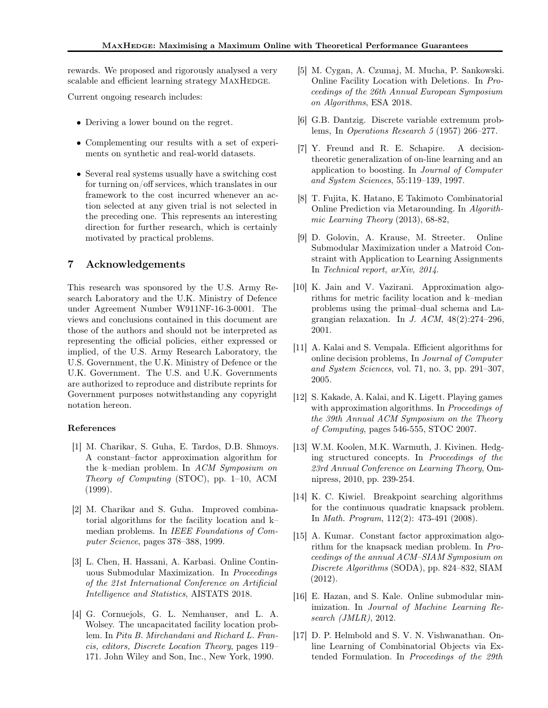rewards. We proposed and rigorously analysed a very scalable and efficient learning strategy MAXHEDGE.

Current ongoing research includes:

- Deriving a lower bound on the regret.
- Complementing our results with a set of experiments on synthetic and real-world datasets.
- Several real systems usually have a switching cost for turning on/off services, which translates in our framework to the cost incurred whenever an action selected at any given trial is not selected in the preceding one. This represents an interesting direction for further research, which is certainly motivated by practical problems.

# 7 Acknowledgements

This research was sponsored by the U.S. Army Research Laboratory and the U.K. Ministry of Defence under Agreement Number W911NF-16-3-0001. The views and conclusions contained in this document are those of the authors and should not be interpreted as representing the official policies, either expressed or implied, of the U.S. Army Research Laboratory, the U.S. Government, the U.K. Ministry of Defence or the U.K. Government. The U.S. and U.K. Governments are authorized to reproduce and distribute reprints for Government purposes notwithstanding any copyright notation hereon.

#### <span id="page-9-3"></span>References

- [1] M. Charikar, S. Guha, E. Tardos, D.B. Shmoys. A constant–factor approximation algorithm for the k–median problem. In *ACM Symposium on Theory of Computing* (STOC), pp. 1–10, ACM (1999).
- <span id="page-9-5"></span>[2] M. Charikar and S. Guha. Improved combinatorial algorithms for the facility location and k– median problems. In *IEEE Foundations of Computer Science*, pages 378–388, 1999.
- <span id="page-9-12"></span>[3] L. Chen, H. Hassani, A. Karbasi. Online Continuous Submodular Maximization. In *Proceedings of the 21st International Conference on Artificial Intelligence and Statistics*, AISTATS 2018.
- <span id="page-9-0"></span>[4] G. Cornuejols, G. L. Nemhauser, and L. A. Wolsey. The uncapacitated facility location problem. In *Pitu B. Mirchandani and Richard L. Francis, editors, Discrete Location Theory*, pages 119– 171. John Wiley and Son, Inc., New York, 1990.
- <span id="page-9-1"></span>[5] M. Cygan, A. Czumaj, M. Mucha, P. Sankowski. Online Facility Location with Deletions. In *Proceedings of the 26th Annual European Symposium on Algorithms*, ESA 2018.
- <span id="page-9-8"></span><span id="page-9-2"></span>[6] G.B. Dantzig. Discrete variable extremum problems, In *Operations Research 5* (1957) 266–277.
- [7] Y. Freund and R. E. Schapire. A decisiontheoretic generalization of on-line learning and an application to boosting. In *Journal of Computer and System Sciences*, 55:119–139, 1997.
- <span id="page-9-9"></span>[8] T. Fujita, K. Hatano, E Takimoto Combinatorial Online Prediction via Metarounding. In *Algorithmic Learning Theory* (2013), 68-82,
- <span id="page-9-13"></span>[9] D. Golovin, A. Krause, M. Streeter. Online Submodular Maximization under a Matroid Constraint with Application to Learning Assignments In *Technical report, arXiv, 2014*.
- <span id="page-9-6"></span>[10] K. Jain and V. Vazirani. Approximation algorithms for metric facility location and k–median problems using the primal–dual schema and Lagrangian relaxation. In *J. ACM*, 48(2):274–296, 2001.
- <span id="page-9-11"></span>[11] A. Kalai and S. Vempala. Efficient algorithms for online decision problems, In *Journal of Computer and System Sciences*, vol. 71, no. 3, pp. 291–307, 2005.
- <span id="page-9-10"></span>[12] S. Kakade, A. Kalai, and K. Ligett. Playing games with approximation algorithms. In *Proceedings of the 39th Annual ACM Symposium on the Theory of Computing*, pages 546-555, STOC 2007.
- <span id="page-9-7"></span>[13] W.M. Koolen, M.K. Warmuth, J. Kivinen. Hedging structured concepts. In *Proceedings of the 23rd Annual Conference on Learning Theory*, Omnipress, 2010, pp. 239-254.
- <span id="page-9-15"></span>[14] K. C. Kiwiel. Breakpoint searching algorithms for the continuous quadratic knapsack problem. In *Math. Program*, 112(2): 473-491 (2008).
- <span id="page-9-4"></span>[15] A. Kumar. Constant factor approximation algorithm for the knapsack median problem. In *Proceedings of the annual ACM–SIAM Symposium on Discrete Algorithms* (SODA), pp. 824–832, SIAM (2012).
- <span id="page-9-14"></span>[16] E. Hazan, and S. Kale. Online submodular minimization. In *Journal of Machine Learning Research (JMLR)*, 2012.
- [17] D. P. Helmbold and S. V. N. Vishwanathan. Online Learning of Combinatorial Objects via Extended Formulation. In *Proceedings of the 29th*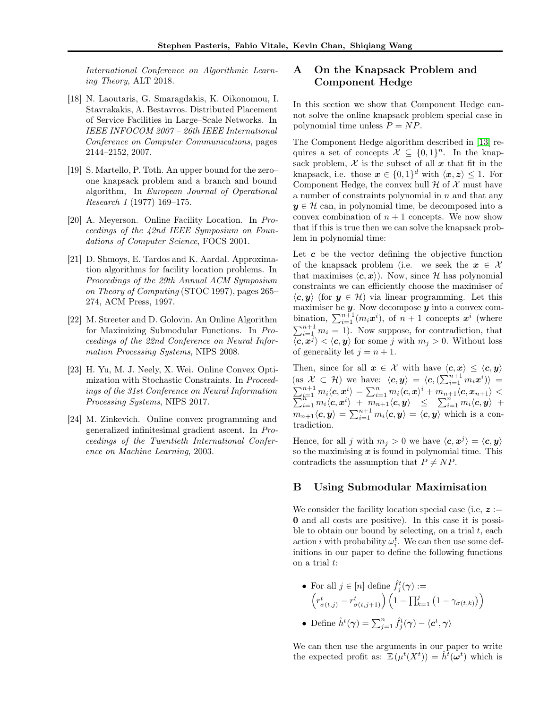*International Conference on Algorithmic Learning Theory*, ALT 2018.

- <span id="page-10-1"></span>[18] N. Laoutaris, G. Smaragdakis, K. Oikonomou, I. Stavrakakis, A. Bestavros. Distributed Placement of Service Facilities in Large–Scale Networks. In *IEEE INFOCOM 2007 – 26th IEEE International Conference on Computer Communications*, pages 2144–2152, 2007.
- <span id="page-10-3"></span>[19] S. Martello, P. Toth. An upper bound for the zero– one knapsack problem and a branch and bound algorithm, In *European Journal of Operational Research 1* (1977) 169–175.
- <span id="page-10-2"></span>[20] A. Meyerson. Online Facility Location. In *Proceedings of the 42nd IEEE Symposium on Foundations of Computer Science*, FOCS 2001.
- <span id="page-10-0"></span>[21] D. Shmoys, E. Tardos and K. Aardal. Approximation algorithms for facility location problems. In *Proceedings of the 29th Annual ACM Symposium on Theory of Computing* (STOC 1997), pages 265– 274, ACM Press, 1997.
- <span id="page-10-5"></span>[22] M. Streeter and D. Golovin. An Online Algorithm for Maximizing Submodular Functions. In *Proceedings of the 22nd Conference on Neural Information Processing Systems*, NIPS 2008.
- [23] H. Yu, M. J. Neely, X. Wei. Online Convex Optimization with Stochastic Constraints. In *Proceedings of the 31st Conference on Neural Information Processing Systems*, NIPS 2017.
- <span id="page-10-7"></span>[24] M. Zinkevich. Online convex programming and generalized infinitesimal gradient ascent. In *Proceedings of the Twentieth International Conference on Machine Learning*, 2003.

# <span id="page-10-4"></span>A On the Knapsack Problem and Component Hedge

In this section we show that Component Hedge cannot solve the online knapsack problem special case in polynomial time unless  $P = NP$ .

The Component Hedge algorithm described in [\[13\]](#page-9-7) requires a set of concepts  $\mathcal{X} \subseteq \{0,1\}^n$ . In the knapsack problem,  $\mathcal X$  is the subset of all  $x$  that fit in the knapsack, i.e. those  $x \in \{0,1\}^d$  with  $\langle x, z \rangle \leq 1$ . For Component Hedge, the convex hull  $H$  of  $X$  must have a number of constraints polynomial in  $n$  and that any  $y \in \mathcal{H}$  can, in polynomial time, be decomposed into a convex combination of  $n + 1$  concepts. We now show that if this is true then we can solve the knapsack problem in polynomial time:

Let  $c$  be the vector defining the objective function of the knapsack problem (i.e. we seek the  $x \in \mathcal{X}$ that maximises  $\langle c, x \rangle$ . Now, since H has polynomial constraints we can efficiently choose the maximiser of  $\langle c, y \rangle$  (for  $y \in \mathcal{H}$ ) via linear programming. Let this maximiser be  $y$ . Now decompose  $y$  into a convex combination,  $\sum_{i=1}^{n+1} (m_i \boldsymbol{x}^i)$ , of  $n+1$  concepts  $\boldsymbol{x}^i$  (where  $\sum_{i=1}^{n+1} m_i = 1$ ). Now suppose, for contradiction, that  $\langle c, x^j \rangle < \langle c, y \rangle$  for some j with  $m_j > 0$ . Without loss of generality let  $j = n + 1$ .

Then, since for all  $x \in \mathcal{X}$  with have  $\langle c, x \rangle \leq \langle c, y \rangle$  $(\text{as } \mathcal{X} \subset \mathcal{H})$  we have:  $\langle c, y \rangle = \langle c, (\sum_{i=1}^{n+1} m_i x^i) \rangle =$  $\sum_{i=1}^{n+1} m_i \langle {\boldsymbol{c}}, {\boldsymbol{x}}^i \rangle = \sum_{i=1}^n m_i \langle {\boldsymbol{c}}, {\boldsymbol{x}} \rangle$  $\sum$  $\begin{array}{l} \Gamma_{i=1}^{n+1}\ m_i\langle \bm c, \bm x^i\rangle\ =\ \sum_{i=1}^n m_i\langle \bm c, \bm x\rangle^i+m_{n+1}\langle \bm c, \bm x_{n+1}\rangle\ <\ \Gamma_{i=1}^n\ m_i\langle \bm c, \bm x^i\rangle\ +\ m_{n+1}\langle \bm c, \bm y\rangle\ \ \leq\ \ \sum_{i=1}^n m_i\langle \bm c, \bm y\rangle\ \ +\ \ \end{array}$  $m_{n+1}\langle c, y \rangle = \sum_{i=1}^{n+1} m_i \langle c, y \rangle = \langle c, y \rangle$  which is a contradiction.

Hence, for all j with  $m_j > 0$  we have  $\langle c, x^j \rangle = \langle c, y \rangle$ so the maximising  $x$  is found in polynomial time. This contradicts the assumption that  $P \neq NP$ .

### <span id="page-10-6"></span>B Using Submodular Maximisation

We consider the facility location special case (i.e.  $z :=$ 0 and all costs are positive). In this case it is possible to obtain our bound by selecting, on a trial  $t$ , each action *i* with probability  $\omega_i^t$ . We can then use some definitions in our paper to define the following functions on a trial t:

• For all 
$$
j \in [n]
$$
 define  $\hat{f}_j^t(\gamma) :=$   
\n
$$
\left(r_{\sigma(t,j)}^t - r_{\sigma(t,j+1)}^t\right) \left(1 - \prod_{k=1}^j \left(1 - \gamma_{\sigma(t,k)}\right)\right)
$$

• Define  $\hat{h}^t(\boldsymbol{\gamma}) = \sum_{j=1}^n \hat{f}^t_j(\boldsymbol{\gamma}) - \langle \boldsymbol{c}^t, \boldsymbol{\gamma} \rangle$ 

We can then use the arguments in our paper to write the expected profit as:  $\mathbb{E}(\mu^t(X^t)) = \hat{h}^{\overline{t}}(\boldsymbol{\omega}^t)$  which is